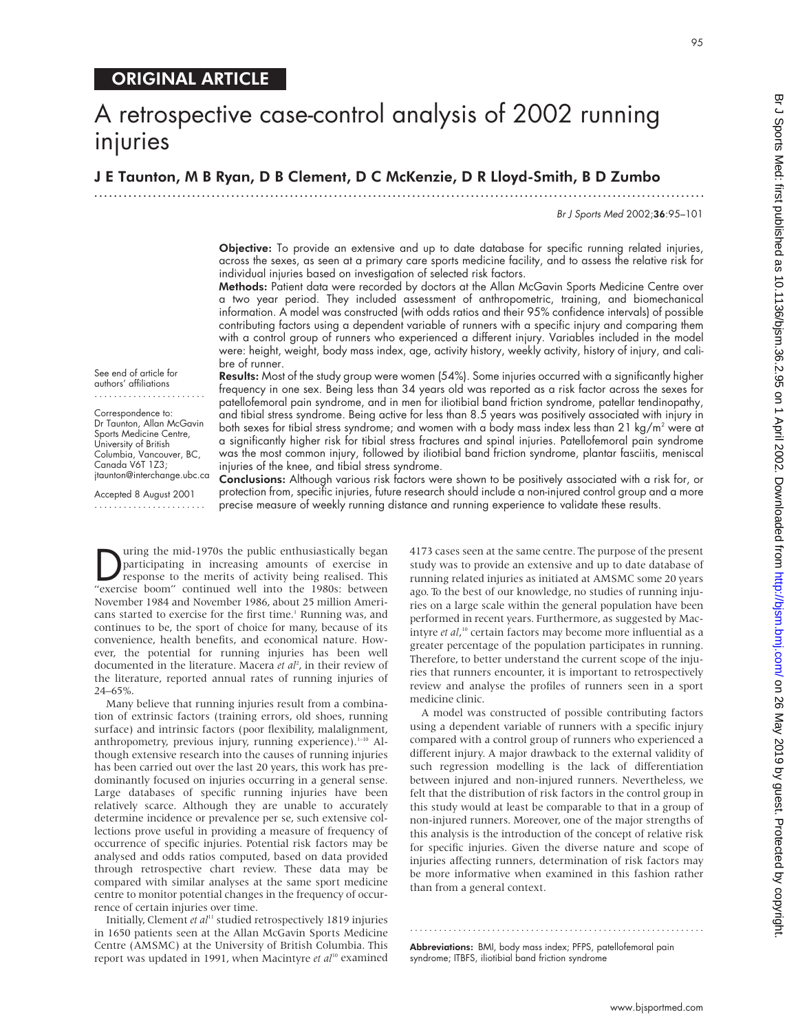# ORIGINAL ARTICLE

# A retrospective case-control analysis of 2002 running injuries

J E Taunton, M B Ryan, D B Clement, D C McKenzie, D R Lloyd-Smith, B D Zumbo

.............................................................................................................................

Br J Sports Med 2002;36:95–101

Objective: To provide an extensive and up to date database for specific running related injuries, across the sexes, as seen at a primary care sports medicine facility, and to assess the relative risk for individual injuries based on investigation of selected risk factors.

Methods: Patient data were recorded by doctors at the Allan McGavin Sports Medicine Centre over a two year period. They included assessment of anthropometric, training, and biomechanical information. A model was constructed (with odds ratios and their 95% confidence intervals) of possible contributing factors using a dependent variable of runners with a specific injury and comparing them with a control group of runners who experienced a different injury. Variables included in the model were: height, weight, body mass index, age, activity history, weekly activity, history of injury, and calibre of runner.

See end of article for authors' affiliations .......................

Correspondence to: Dr Taunton, Allan McGavin Sports Medicine Centre, University of British Columbia, Vancouver, BC, Canada V6T 1Z3; jtaunton@interchange.ubc.ca

Accepted 8 August 2001 .......................

Results: Most of the study group were women (54%). Some injuries occurred with a significantly higher frequency in one sex. Being less than 34 years old was reported as a risk factor across the sexes for patellofemoral pain syndrome, and in men for iliotibial band friction syndrome, patellar tendinopathy, and tibial stress syndrome. Being active for less than 8.5 years was positively associated with injury in both sexes for tibial stress syndrome; and women with a body mass index less than 21 kg/m<sup>2</sup> were at a significantly higher risk for tibial stress fractures and spinal injuries. Patellofemoral pain syndrome was the most common injury, followed by iliotibial band friction syndrome, plantar fasciitis, meniscal injuries of the knee, and tibial stress syndrome.

Conclusions: Although various risk factors were shown to be positively associated with a risk for, or protection from, specific injuries, future research should include a non-injured control group and a more precise measure of weekly running distance and running experience to validate these results.

**During the mid-1970s the public enthusiastically began**<br>participating in increasing amounts of exercise in<br>response to the merits of activity being realised. This<br>"exercise boom" continued well into the 1980s: between participating in increasing amounts of exercise in "exercise boom" continued well into the 1980s: between November 1984 and November 1986, about 25 million Americans started to exercise for the first time.<sup>1</sup> Running was, and continues to be, the sport of choice for many, because of its convenience, health benefits, and economical nature. However, the potential for running injuries has been well documented in the literature. Macera *et al<sup>2</sup>*, in their review of the literature, reported annual rates of running injuries of 24–65%.

Many believe that running injuries result from a combination of extrinsic factors (training errors, old shoes, running surface) and intrinsic factors (poor flexibility, malalignment, anthropometry, previous injury, running experience). $1-10$  Although extensive research into the causes of running injuries has been carried out over the last 20 years, this work has predominantly focused on injuries occurring in a general sense. Large databases of specific running injuries have been relatively scarce. Although they are unable to accurately determine incidence or prevalence per se, such extensive collections prove useful in providing a measure of frequency of occurrence of specific injuries. Potential risk factors may be analysed and odds ratios computed, based on data provided through retrospective chart review. These data may be compared with similar analyses at the same sport medicine centre to monitor potential changes in the frequency of occurrence of certain injuries over time.

Initially, Clement *et al*<sup>11</sup> studied retrospectively 1819 injuries in 1650 patients seen at the Allan McGavin Sports Medicine Centre (AMSMC) at the University of British Columbia. This report was updated in 1991, when Macintyre et al<sup>10</sup> examined

4173 cases seen at the same centre. The purpose of the present study was to provide an extensive and up to date database of running related injuries as initiated at AMSMC some 20 years ago. To the best of our knowledge, no studies of running injuries on a large scale within the general population have been performed in recent years. Furthermore, as suggested by Macintyre *et al*, <sup>10</sup> certain factors may become more influential as a greater percentage of the population participates in running. Therefore, to better understand the current scope of the injuries that runners encounter, it is important to retrospectively review and analyse the profiles of runners seen in a sport medicine clinic.

A model was constructed of possible contributing factors using a dependent variable of runners with a specific injury compared with a control group of runners who experienced a different injury. A major drawback to the external validity of such regression modelling is the lack of differentiation between injured and non-injured runners. Nevertheless, we felt that the distribution of risk factors in the control group in this study would at least be comparable to that in a group of non-injured runners. Moreover, one of the major strengths of this analysis is the introduction of the concept of relative risk for specific injuries. Given the diverse nature and scope of injuries affecting runners, determination of risk factors may be more informative when examined in this fashion rather than from a general context.

Abbreviations: BMI, body mass index; PFPS, patellofemoral pain syndrome; ITBFS, iliotibial band friction syndrome

.............................................................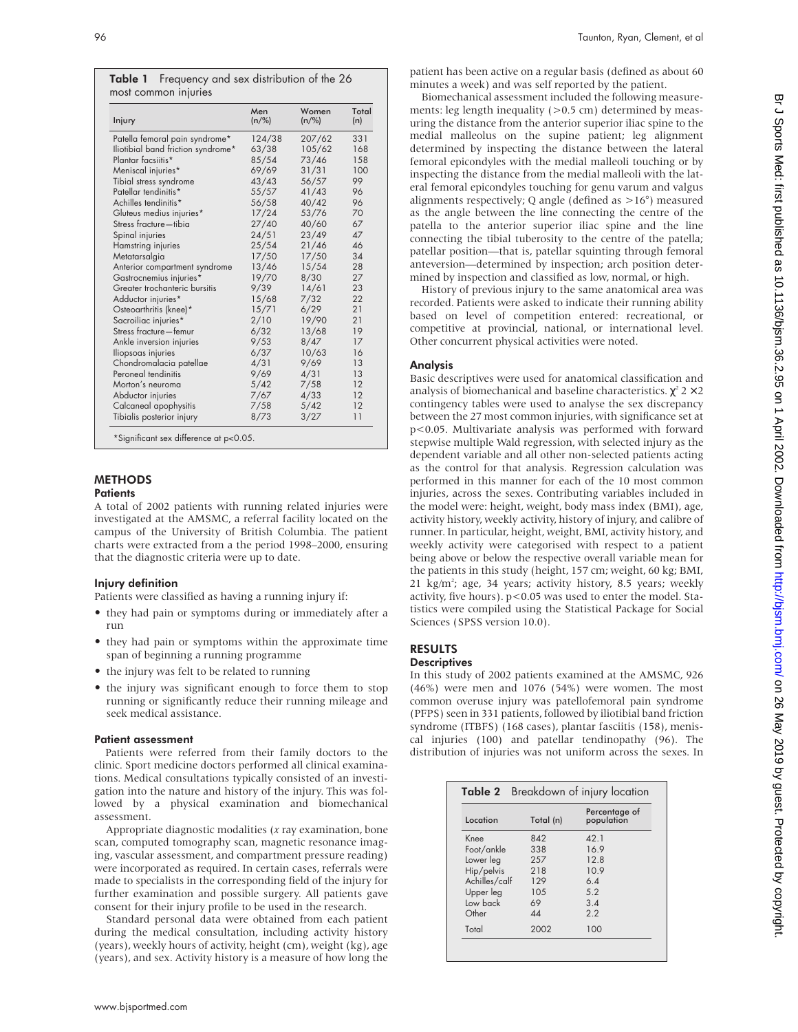Table 1 Frequency and sex distribution of the 26 most common injuries

| Injury                             | Men<br>$(n/\%)$ | Women<br>$(n/\%)$ | Total<br>(n) |
|------------------------------------|-----------------|-------------------|--------------|
| Patella femoral pain syndrome*     | 124/38          | 207/62            | 331          |
| lliotibial band friction syndrome* | 63/38           | 105/62            | 168          |
| Plantar facsiitis*                 | 85/54           | 73/46             | 158          |
| Meniscal injuries*                 | 69/69           | 31/31             | 100          |
| Tibial stress syndrome             | 43/43           | 56/57             | 99           |
| Patellar tendinitis*               | 55/57           | 41/43             | 96           |
| Achilles tendinitis*               | 56/58           | 40/42             | 96           |
| Gluteus medius injuries*           | 17/24           | 53/76             | 70           |
| Stress fracture-tibia              | 27/40           | 40/60             | 67           |
| Spinal injuries                    | 24/51           | 23/49             | 47           |
| Hamstring injuries                 | 25/54           | 21/46             | 46           |
| Metatarsalgia                      | 17/50           | 17/50             | 34           |
| Anterior compartment syndrome      | 13/46           | 15/54             | 28           |
| Gastrocnemius injuries*            | 19/70           | 8/30              | 27           |
| Greater trochanteric bursitis      | 9/39            | 14/61             | 23           |
| Adductor injuries*                 | 15/68           | 7/32              | 22           |
| Osteoarthritis (knee)*             | 15/71           | 6/29              | 21           |
| Sacroiliac injuries*               | 2/10            | 19/90             | 21           |
| Stress fracture-femur              | 6/32            | 13/68             | 19           |
| Ankle inversion injuries           | 9/53            | 8/47              | 17           |
| lliopsoas injuries                 | 6/37            | 10/63             | 16           |
| Chondromalacia patellae            | 4/31            | 9/69              | 13           |
| Peroneal tendinitis                | 9/69            | 4/31              | 13           |
| Morton's neuroma                   | 5/42            | 7/58              | 12           |
| Abductor injuries                  | 7/67            | 4/33              | 12           |
| Calcaneal apophysitis              | 7/58            | 5/42              | 12           |
| Tibialis posterior injury          | 8/73            | 3/27              | 11           |

# **METHODS**

### **Patients**

A total of 2002 patients with running related injuries were investigated at the AMSMC, a referral facility located on the campus of the University of British Columbia. The patient charts were extracted from a the period 1998–2000, ensuring that the diagnostic criteria were up to date.

#### Injury definition

Patients were classified as having a running injury if:

- they had pain or symptoms during or immediately after a run
- they had pain or symptoms within the approximate time span of beginning a running programme
- the injury was felt to be related to running
- the injury was significant enough to force them to stop running or significantly reduce their running mileage and seek medical assistance.

#### Patient assessment

Patients were referred from their family doctors to the clinic. Sport medicine doctors performed all clinical examinations. Medical consultations typically consisted of an investigation into the nature and history of the injury. This was followed by a physical examination and biomechanical assessment.

Appropriate diagnostic modalities (*x* ray examination, bone scan, computed tomography scan, magnetic resonance imaging, vascular assessment, and compartment pressure reading) were incorporated as required. In certain cases, referrals were made to specialists in the corresponding field of the injury for further examination and possible surgery. All patients gave consent for their injury profile to be used in the research.

Standard personal data were obtained from each patient during the medical consultation, including activity history (years), weekly hours of activity, height (cm), weight (kg), age (years), and sex. Activity history is a measure of how long the

patient has been active on a regular basis (defined as about 60 minutes a week) and was self reported by the patient.

Biomechanical assessment included the following measurements: leg length inequality ( $> 0.5$  cm) determined by measuring the distance from the anterior superior iliac spine to the medial malleolus on the supine patient; leg alignment determined by inspecting the distance between the lateral femoral epicondyles with the medial malleoli touching or by inspecting the distance from the medial malleoli with the lateral femoral epicondyles touching for genu varum and valgus alignments respectively; Q angle (defined as >16°) measured as the angle between the line connecting the centre of the patella to the anterior superior iliac spine and the line connecting the tibial tuberosity to the centre of the patella; patellar position—that is, patellar squinting through femoral anteversion—determined by inspection; arch position determined by inspection and classified as low, normal, or high.

History of previous injury to the same anatomical area was recorded. Patients were asked to indicate their running ability based on level of competition entered: recreational, or competitive at provincial, national, or international level. Other concurrent physical activities were noted.

# Analysis

Basic descriptives were used for anatomical classification and analysis of biomechanical and baseline characteristics.  $\chi^2 2 \times 2$ contingency tables were used to analyse the sex discrepancy between the 27 most common injuries, with significance set at p<0.05. Multivariate analysis was performed with forward stepwise multiple Wald regression, with selected injury as the dependent variable and all other non-selected patients acting as the control for that analysis. Regression calculation was performed in this manner for each of the 10 most common injuries, across the sexes. Contributing variables included in the model were: height, weight, body mass index (BMI), age, activity history, weekly activity, history of injury, and calibre of runner. In particular, height, weight, BMI, activity history, and weekly activity were categorised with respect to a patient being above or below the respective overall variable mean for the patients in this study (height, 157 cm; weight, 60 kg; BMI, 21 kg/m<sup>2</sup>; age, 34 years; activity history, 8.5 years; weekly activity, five hours). p<0.05 was used to enter the model. Statistics were compiled using the Statistical Package for Social Sciences (SPSS version 10.0).

# RESULTS

# **Descriptives**

In this study of 2002 patients examined at the AMSMC, 926 (46%) were men and 1076 (54%) were women. The most common overuse injury was patellofemoral pain syndrome (PFPS) seen in 331 patients, followed by iliotibial band friction syndrome (ITBFS) (168 cases), plantar fasciitis (158), meniscal injuries (100) and patellar tendinopathy (96). The distribution of injuries was not uniform across the sexes. In

| Location      | Total (n)      | Percentage of<br>population |
|---------------|----------------|-----------------------------|
| Knee          | 842            | 42.1                        |
| Foot/ankle    | 338            | 16.9                        |
| Lower leg     | 257            | 128                         |
| Hip/pelvis    | 218            | 10.9                        |
| Achilles/calf | 129            | 6.4                         |
| Upper leg     | 105            | 5.2                         |
| Low back      | 69             | 3.4                         |
| Other         | $\Delta\Delta$ | 22                          |
| Total         | 2002           | 100                         |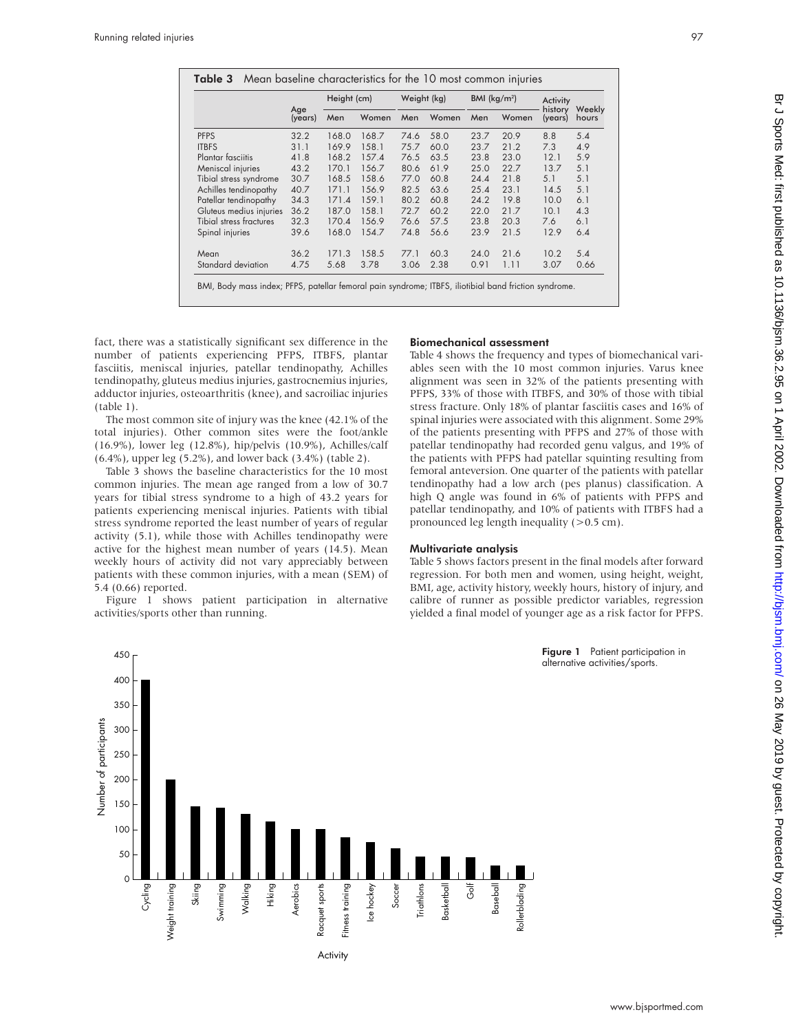|                         | Age<br>(years) | Height (cm) |       | Weight (kg) |       | BMI $(kg/m2)$ |       | <b>Activity</b>    |                 |
|-------------------------|----------------|-------------|-------|-------------|-------|---------------|-------|--------------------|-----------------|
|                         |                | Men         | Women | Men         | Women | Men           | Women | history<br>(years) | Weekly<br>hours |
| <b>PFPS</b>             | 32.2           | 168.0       | 168.7 | 74.6        | 58.0  | 23.7          | 20.9  | 8.8                | 5.4             |
| <b>ITBFS</b>            | 31.1           | 169.9       | 158.1 | 75.7        | 60.0  | 23.7          | 21.2  | 7.3                | 4.9             |
| Plantar fasciitis       | 41.8           | 168.2       | 157.4 | 76.5        | 63.5  | 23.8          | 23.0  | 12.1               | 5.9             |
| Meniscal injuries       | 43.2           | 170.1       | 156.7 | 80.6        | 61.9  | 25.0          | 22.7  | 13.7               | 5.1             |
| Tibial stress syndrome  | 30.7           | 168.5       | 158.6 | 77.0        | 60.8  | 24.4          | 21.8  | 5.1                | 5.1             |
| Achilles tendinopathy   | 40.7           | 171.1       | 156.9 | 82.5        | 63.6  | 25.4          | 23.1  | 14.5               | 5.1             |
| Patellar tendinopathy   | 34.3           | 171.4       | 159.1 | 80.2        | 60.8  | 24.2          | 19.8  | 10.0               | 6.1             |
| Gluteus medius injuries | 36.2           | 187.0       | 158.1 | 72.7        | 60.2  | 22.0          | 21.7  | 10.1               | 4.3             |
| Tibial stress fractures | 32.3           | 170.4       | 156.9 | 76.6        | 57.5  | 23.8          | 20.3  | 7.6                | 6.1             |
| Spinal injuries         | 39.6           | 168.0       | 154.7 | 74.8        | 56.6  | 23.9          | 21.5  | 12.9               | 6.4             |
| Mean                    | 36.2           | 171.3       | 158.5 | 77.1        | 60.3  | 24.0          | 21.6  | 10.2               | 5.4             |
| Standard deviation      | 4.75           | 5.68        | 3.78  | 3.06        | 2.38  | 0.91          | 1.11  | 3.07               | 0.66            |

fact, there was a statistically significant sex difference in the number of patients experiencing PFPS, ITBFS, plantar fasciitis, meniscal injuries, patellar tendinopathy, Achilles tendinopathy, gluteus medius injuries, gastrocnemius injuries, adductor injuries, osteoarthritis (knee), and sacroiliac injuries (table 1).

The most common site of injury was the knee (42.1% of the total injuries). Other common sites were the foot/ankle (16.9%), lower leg (12.8%), hip/pelvis (10.9%), Achilles/calf (6.4%), upper leg (5.2%), and lower back (3.4%) (table 2).

Table 3 shows the baseline characteristics for the 10 most common injuries. The mean age ranged from a low of 30.7 years for tibial stress syndrome to a high of 43.2 years for patients experiencing meniscal injuries. Patients with tibial stress syndrome reported the least number of years of regular activity (5.1), while those with Achilles tendinopathy were active for the highest mean number of years (14.5). Mean weekly hours of activity did not vary appreciably between patients with these common injuries, with a mean (SEM) of 5.4 (0.66) reported.

Figure 1 shows patient participation in alternative activities/sports other than running.

# Biomechanical assessment

Table 4 shows the frequency and types of biomechanical variables seen with the 10 most common injuries. Varus knee alignment was seen in 32% of the patients presenting with PFPS, 33% of those with ITBFS, and 30% of those with tibial stress fracture. Only 18% of plantar fasciitis cases and 16% of spinal injuries were associated with this alignment. Some 29% of the patients presenting with PFPS and 27% of those with patellar tendinopathy had recorded genu valgus, and 19% of the patients with PFPS had patellar squinting resulting from femoral anteversion. One quarter of the patients with patellar tendinopathy had a low arch (pes planus) classification. A high Q angle was found in 6% of patients with PFPS and patellar tendinopathy, and 10% of patients with ITBFS had a pronounced leg length inequality (>0.5 cm).

## Multivariate analysis

Table 5 shows factors present in the final models after forward regression. For both men and women, using height, weight, BMI, age, activity history, weekly hours, history of injury, and calibre of runner as possible predictor variables, regression yielded a final model of younger age as a risk factor for PFPS.



Figure 1 Patient participation in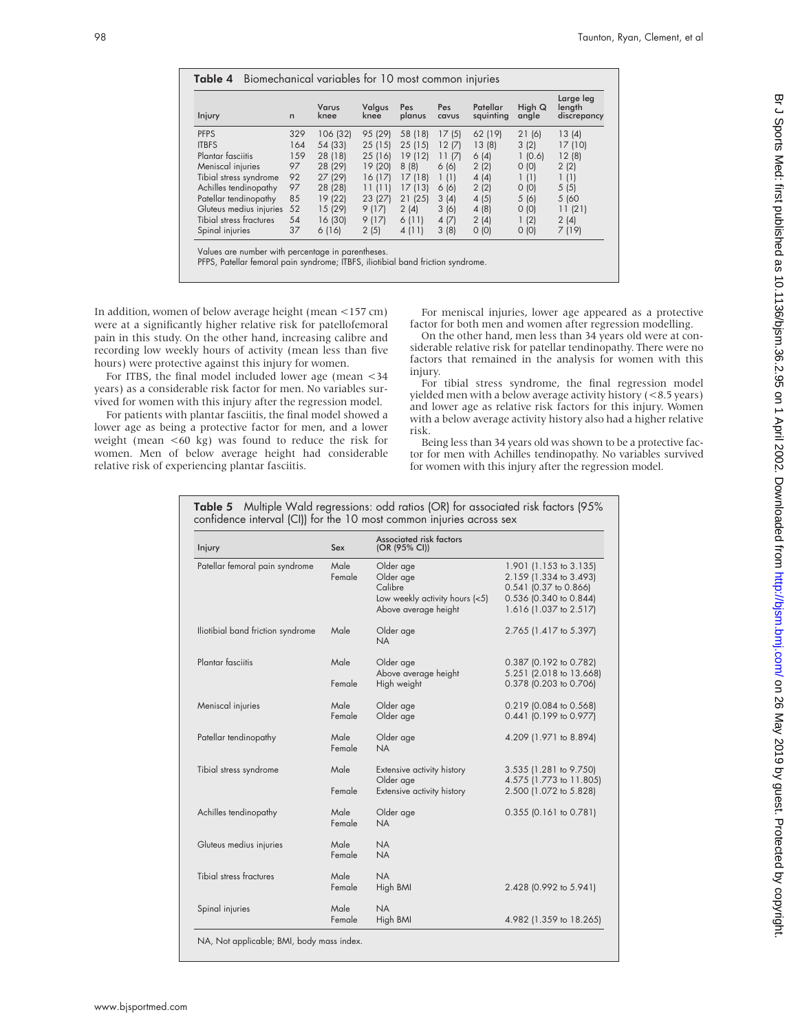| Injury                  | $\mathsf{n}$ | Varus<br>knee | Valgus<br>knee | Pes<br>planus | Pes<br>cavus | Patellar<br>squinting | High Q<br>angle | Large leg<br>length<br>discrepancy |
|-------------------------|--------------|---------------|----------------|---------------|--------------|-----------------------|-----------------|------------------------------------|
| <b>PFPS</b>             | 329          | 106 (32)      | 95 (29)        | 58 (18)       | 17(5)        | 62 (19)               | 21(6)           | 13(4)                              |
| <b>ITBFS</b>            | 164          | 54 (33)       | 25(15)         | 25(15)        | 12(7)        | 13(8)                 | 3(2)            | 17(10)                             |
| Plantar fasciitis       | 159          | 28 (18)       | 25 (16)        | 19 (12)       | 11(7)        | 6(4)                  | 1(0.6)          | 12(8)                              |
| Meniscal injuries       | 97           | 28 (29)       | 19 (20)        | 8(8)          | 6(6)         | 2(2)                  | O(0)            | 2(2)                               |
| Tibial stress syndrome  | 92           | 27 (29)       | 16(17)         | 17(18)        | 1(1)         | 4(4)                  | 1(1)            | 1(1)                               |
| Achilles tendinopathy   | 97           | 28 (28)       | 11(11)         | 17(13)        | 6(6)         | 2(2)                  | O(0)            | 5(5)                               |
| Patellar tendinopathy   | 85           | 19 (22)       | 23 (27)        | 21(25)        | 3(4)         | 4(5)                  | 5(6)            | 5 (60                              |
| Gluteus medius injuries | 52           | 15 (29)       | 9(17)          | 2(4)          | 3(6)         | 4(8)                  | O(0)            | 11(21)                             |
| Tibial stress fractures | 54           | 16 (30)       | 9(17)          | 6(11)         | 4(7)         | 2(4)                  | 1(2)            | 2(4)                               |
| Spinal injuries         | 37           | 6(16)         | 2(5)           | 4 (11)        | 3(8)         | O(0)                  | O(0)            | 7 (19)                             |

PFPS, Patellar femoral pain syndrome; ITBFS, iliotibial band friction syndrome.

In addition, women of below average height (mean <157 cm) were at a significantly higher relative risk for patellofemoral pain in this study. On the other hand, increasing calibre and recording low weekly hours of activity (mean less than five hours) were protective against this injury for women.

For ITBS, the final model included lower age (mean <34 years) as a considerable risk factor for men. No variables survived for women with this injury after the regression model.

For patients with plantar fasciitis, the final model showed a lower age as being a protective factor for men, and a lower weight (mean <60 kg) was found to reduce the risk for women. Men of below average height had considerable relative risk of experiencing plantar fasciitis.

For meniscal injuries, lower age appeared as a protective factor for both men and women after regression modelling.

On the other hand, men less than 34 years old were at considerable relative risk for patellar tendinopathy. There were no factors that remained in the analysis for women with this injury.

For tibial stress syndrome, the final regression model yielded men with a below average activity history (<8.5 years) and lower age as relative risk factors for this injury. Women with a below average activity history also had a higher relative risk.

Being less than 34 years old was shown to be a protective factor for men with Achilles tendinopathy. No variables survived for women with this injury after the regression model.

| Injury                            | Sex            | Associated risk factors<br>(OR (95% CI))                                                    |                                                                                                                               |  |  |  |  |
|-----------------------------------|----------------|---------------------------------------------------------------------------------------------|-------------------------------------------------------------------------------------------------------------------------------|--|--|--|--|
| Patellar femoral pain syndrome    | Male<br>Female | Older age<br>Older age<br>Calibre<br>Low weekly activity hours (<5)<br>Above average height | 1.901 (1.153 to 3.135)<br>2.159 (1.334 to 3.493)<br>0.541 (0.37 to 0.866)<br>0.536 (0.340 to 0.844)<br>1.616 (1.037 to 2.517) |  |  |  |  |
| lliotibial band friction syndrome | Male           | Older age<br><b>NA</b>                                                                      | 2.765 (1.417 to 5.397)                                                                                                        |  |  |  |  |
| Plantar fasciitis                 | Male<br>Female | Older age<br>Above average height<br>High weight                                            | 0.387 (0.192 to 0.782)<br>5.251 (2.018 to 13.668)<br>0.378 (0.203 to 0.706)                                                   |  |  |  |  |
| Meniscal injuries                 | Male<br>Female | Older age<br>Older age                                                                      | 0.219 (0.084 to 0.568)<br>0.441 (0.199 to 0.977)                                                                              |  |  |  |  |
| Patellar tendinopathy             | Male<br>Female | Older age<br><b>NA</b>                                                                      | 4.209 (1.971 to 8.894)                                                                                                        |  |  |  |  |
| Tibial stress syndrome            | Male<br>Female | Extensive activity history<br>Older age<br>Extensive activity history                       | 3.535 (1.281 to 9.750)<br>4.575 (1.773 to 11.805)<br>2.500 (1.072 to 5.828)                                                   |  |  |  |  |
| Achilles tendinopathy             | Male<br>Female | Older age<br><b>NA</b>                                                                      | $0.355$ (0.161 to 0.781)                                                                                                      |  |  |  |  |
| Gluteus medius injuries           | Male<br>Female | <b>NA</b><br><b>NA</b>                                                                      |                                                                                                                               |  |  |  |  |
| Tibial stress fractures           | Male<br>Female | <b>NA</b><br>High BMI                                                                       | 2.428 (0.992 to 5.941)                                                                                                        |  |  |  |  |
| Spinal injuries                   | Male<br>Female | <b>NA</b><br>High BMI                                                                       | 4.982 (1.359 to 18.265)                                                                                                       |  |  |  |  |

Br J Sports Med: first published as 10.1136/bjsm.36.2.95 on 1 April 2002. Downloaded from http://bjsm.bmj.com/ on 26 May 2019 by guest. Protected by copyright br Jon 2009 by guest. Protected by guest. Protected by an 10.001114. The High Sports Media on 20.3.9.2.139.2.10.2.0.2.9.2.1136. Dr Jon 2019 on 20 Aay and High Sports Alected by Guestian and High Sports Alected and April 20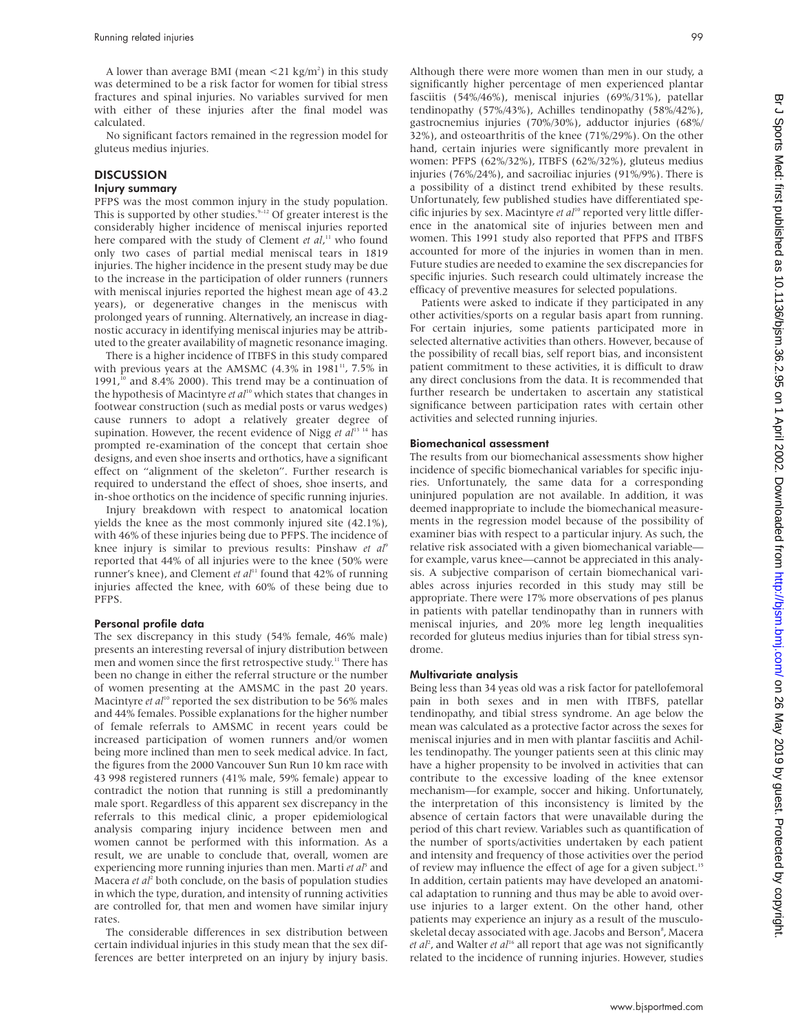A lower than average BMI (mean  $\langle 21 \text{ kg/m}^2 \rangle$  in this study was determined to be a risk factor for women for tibial stress fractures and spinal injuries. No variables survived for men with either of these injuries after the final model was calculated.

No significant factors remained in the regression model for gluteus medius injuries.

## **DISCUSSION**

# Injury summary

PFPS was the most common injury in the study population. This is supported by other studies.<sup>9-12</sup> Of greater interest is the considerably higher incidence of meniscal injuries reported here compared with the study of Clement *et al*,<sup>11</sup> who found only two cases of partial medial meniscal tears in 1819 injuries. The higher incidence in the present study may be due to the increase in the participation of older runners (runners with meniscal injuries reported the highest mean age of 43.2 years), or degenerative changes in the meniscus with prolonged years of running. Alternatively, an increase in diagnostic accuracy in identifying meniscal injuries may be attributed to the greater availability of magnetic resonance imaging.

There is a higher incidence of ITBFS in this study compared with previous years at the AMSMC  $(4.3\% \text{ in } 1981^{\text{11}}$ ,  $7.5\% \text{ in }$ 1991, $^{10}$  and 8.4% 2000). This trend may be a continuation of the hypothesis of Macintyre *et al*<sup>10</sup> which states that changes in footwear construction (such as medial posts or varus wedges) cause runners to adopt a relatively greater degree of supination. However, the recent evidence of Nigg *et al*<sup>13 14</sup> has prompted re-examination of the concept that certain shoe designs, and even shoe inserts and orthotics, have a significant effect on "alignment of the skeleton". Further research is required to understand the effect of shoes, shoe inserts, and in-shoe orthotics on the incidence of specific running injuries.

Injury breakdown with respect to anatomical location yields the knee as the most commonly injured site (42.1%), with 46% of these injuries being due to PFPS. The incidence of knee injury is similar to previous results: Pinshaw *et al*<sup>9</sup> reported that 44% of all injuries were to the knee (50% were runner's knee), and Clement *et al*<sup>11</sup> found that 42% of running injuries affected the knee, with 60% of these being due to PFPS.

### Personal profile data

The sex discrepancy in this study (54% female, 46% male) presents an interesting reversal of injury distribution between men and women since the first retrospective study.<sup>11</sup> There has been no change in either the referral structure or the number of women presenting at the AMSMC in the past 20 years. Macintyre *et al*<sup>10</sup> reported the sex distribution to be 56% males and 44% females. Possible explanations for the higher number of female referrals to AMSMC in recent years could be increased participation of women runners and/or women being more inclined than men to seek medical advice. In fact, the figures from the 2000 Vancouver Sun Run 10 km race with 43 998 registered runners (41% male, 59% female) appear to contradict the notion that running is still a predominantly male sport. Regardless of this apparent sex discrepancy in the referrals to this medical clinic, a proper epidemiological analysis comparing injury incidence between men and women cannot be performed with this information. As a result, we are unable to conclude that, overall, women are experiencing more running injuries than men. Marti *et al*<sup>5</sup> and Macera *et al*<sup>2</sup> both conclude, on the basis of population studies in which the type, duration, and intensity of running activities are controlled for, that men and women have similar injury rates.

The considerable differences in sex distribution between certain individual injuries in this study mean that the sex differences are better interpreted on an injury by injury basis.

Although there were more women than men in our study, a significantly higher percentage of men experienced plantar fasciitis (54%/46%), meniscal injuries (69%/31%), patellar tendinopathy (57%/43%), Achilles tendinopathy (58%/42%), gastrocnemius injuries (70%/30%), adductor injuries (68%/ 32%), and osteoarthritis of the knee (71%/29%). On the other hand, certain injuries were significantly more prevalent in women: PFPS (62%/32%), ITBFS (62%/32%), gluteus medius injuries (76%/24%), and sacroiliac injuries (91%/9%). There is a possibility of a distinct trend exhibited by these results. Unfortunately, few published studies have differentiated specific injuries by sex. Macintyre et al<sup>10</sup> reported very little difference in the anatomical site of injuries between men and women. This 1991 study also reported that PFPS and ITBFS accounted for more of the injuries in women than in men. Future studies are needed to examine the sex discrepancies for specific injuries. Such research could ultimately increase the efficacy of preventive measures for selected populations.

Patients were asked to indicate if they participated in any other activities/sports on a regular basis apart from running. For certain injuries, some patients participated more in selected alternative activities than others. However, because of the possibility of recall bias, self report bias, and inconsistent patient commitment to these activities, it is difficult to draw any direct conclusions from the data. It is recommended that further research be undertaken to ascertain any statistical significance between participation rates with certain other activities and selected running injuries.

#### Biomechanical assessment

The results from our biomechanical assessments show higher incidence of specific biomechanical variables for specific injuries. Unfortunately, the same data for a corresponding uninjured population are not available. In addition, it was deemed inappropriate to include the biomechanical measurements in the regression model because of the possibility of examiner bias with respect to a particular injury. As such, the relative risk associated with a given biomechanical variable for example, varus knee—cannot be appreciated in this analysis. A subjective comparison of certain biomechanical variables across injuries recorded in this study may still be appropriate. There were 17% more observations of pes planus in patients with patellar tendinopathy than in runners with meniscal injuries, and 20% more leg length inequalities recorded for gluteus medius injuries than for tibial stress syndrome.

# Multivariate analysis

Being less than 34 yeas old was a risk factor for patellofemoral pain in both sexes and in men with ITBFS, patellar tendinopathy, and tibial stress syndrome. An age below the mean was calculated as a protective factor across the sexes for meniscal injuries and in men with plantar fasciitis and Achilles tendinopathy. The younger patients seen at this clinic may have a higher propensity to be involved in activities that can contribute to the excessive loading of the knee extensor mechanism—for example, soccer and hiking. Unfortunately, the interpretation of this inconsistency is limited by the absence of certain factors that were unavailable during the period of this chart review. Variables such as quantification of the number of sports/activities undertaken by each patient and intensity and frequency of those activities over the period of review may influence the effect of age for a given subject.<sup>15</sup> In addition, certain patients may have developed an anatomical adaptation to running and thus may be able to avoid overuse injuries to a larger extent. On the other hand, other patients may experience an injury as a result of the musculoskeletal decay associated with age. Jacobs and Berson<sup>8</sup>, Macera *et al*<sup>2</sup> , and Walter *et al*<sup>16</sup> all report that age was not significantly related to the incidence of running injuries. However, studies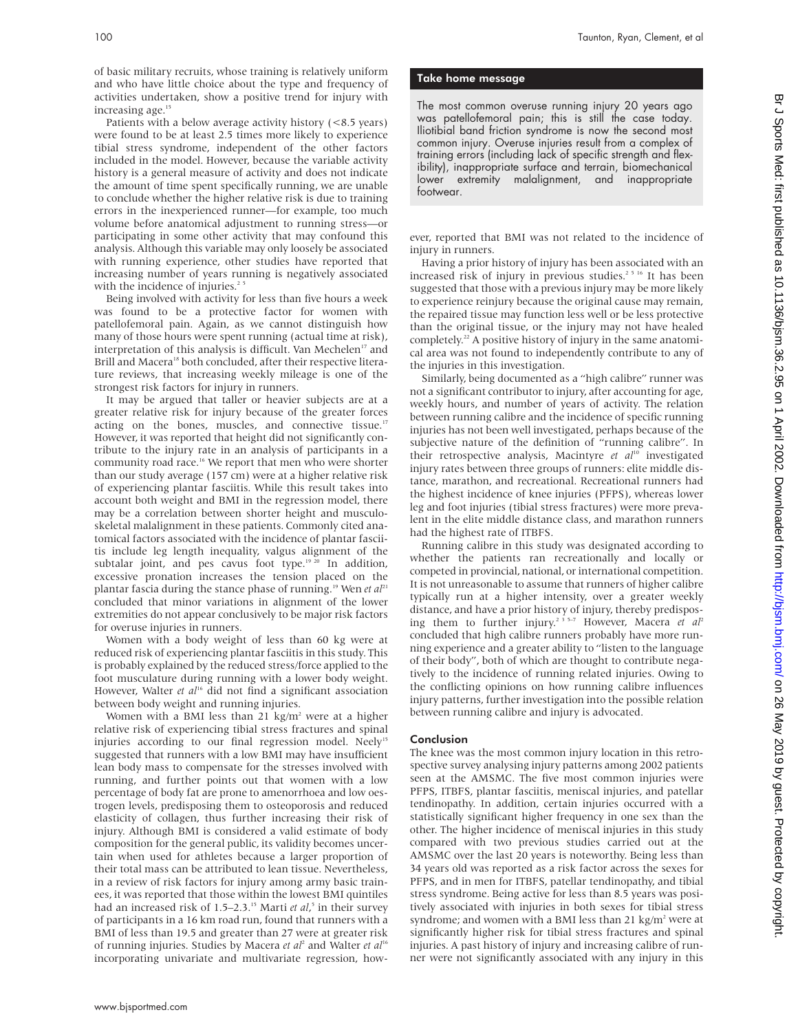of basic military recruits, whose training is relatively uniform and who have little choice about the type and frequency of activities undertaken, show a positive trend for injury with increasing age.<sup>15</sup>

Patients with a below average activity history (<8.5 years) were found to be at least 2.5 times more likely to experience tibial stress syndrome, independent of the other factors included in the model. However, because the variable activity history is a general measure of activity and does not indicate the amount of time spent specifically running, we are unable to conclude whether the higher relative risk is due to training errors in the inexperienced runner—for example, too much volume before anatomical adjustment to running stress—or participating in some other activity that may confound this analysis. Although this variable may only loosely be associated with running experience, other studies have reported that increasing number of years running is negatively associated with the incidence of injuries.<sup>2</sup>

Being involved with activity for less than five hours a week was found to be a protective factor for women with patellofemoral pain. Again, as we cannot distinguish how many of those hours were spent running (actual time at risk), interpretation of this analysis is difficult. Van Mechelen<sup>17</sup> and Brill and Macera<sup>18</sup> both concluded, after their respective literature reviews, that increasing weekly mileage is one of the strongest risk factors for injury in runners.

It may be argued that taller or heavier subjects are at a greater relative risk for injury because of the greater forces acting on the bones, muscles, and connective tissue.<sup>17</sup> However, it was reported that height did not significantly contribute to the injury rate in an analysis of participants in a community road race.<sup>16</sup> We report that men who were shorter than our study average (157 cm) were at a higher relative risk of experiencing plantar fasciitis. While this result takes into account both weight and BMI in the regression model, there may be a correlation between shorter height and musculoskeletal malalignment in these patients. Commonly cited anatomical factors associated with the incidence of plantar fasciitis include leg length inequality, valgus alignment of the subtalar joint, and pes cavus foot type.<sup>19 20</sup> In addition, excessive pronation increases the tension placed on the plantar fascia during the stance phase of running.<sup>19</sup> Wen *et al*<sup>21</sup> concluded that minor variations in alignment of the lower extremities do not appear conclusively to be major risk factors for overuse injuries in runners.

Women with a body weight of less than 60 kg were at reduced risk of experiencing plantar fasciitis in this study. This is probably explained by the reduced stress/force applied to the foot musculature during running with a lower body weight. However, Walter *et al*<sup>16</sup> did not find a significant association between body weight and running injuries.

Women with a BMI less than 21 kg/m<sup>2</sup> were at a higher relative risk of experiencing tibial stress fractures and spinal injuries according to our final regression model. Neely<sup>15</sup> suggested that runners with a low BMI may have insufficient lean body mass to compensate for the stresses involved with running, and further points out that women with a low percentage of body fat are prone to amenorrhoea and low oestrogen levels, predisposing them to osteoporosis and reduced elasticity of collagen, thus further increasing their risk of injury. Although BMI is considered a valid estimate of body composition for the general public, its validity becomes uncertain when used for athletes because a larger proportion of their total mass can be attributed to lean tissue. Nevertheless, in a review of risk factors for injury among army basic trainees, it was reported that those within the lowest BMI quintiles had an increased risk of 1.5–2.3.<sup>15</sup> Marti *et al*,<sup>5</sup> in their survey of participants in a 16 km road run, found that runners with a BMI of less than 19.5 and greater than 27 were at greater risk of running injuries. Studies by Macera *et al<sup>2</sup>* and Walter *et al<sup>16</sup>* incorporating univariate and multivariate regression, how-

# Take home message

The most common overuse running injury 20 years ago was patellofemoral pain; this is still the case today. Iliotibial band friction syndrome is now the second most common injury. Overuse injuries result from a complex of training errors (including lack of specific strength and flexibility), inappropriate surface and terrain, biomechanical lower extremity malalignment, and inappropriate footwear.

ever, reported that BMI was not related to the incidence of injury in runners.

Having a prior history of injury has been associated with an increased risk of injury in previous studies.<sup>2 5 16</sup> It has been suggested that those with a previous injury may be more likely to experience reinjury because the original cause may remain, the repaired tissue may function less well or be less protective than the original tissue, or the injury may not have healed completely.<sup>22</sup> A positive history of injury in the same anatomical area was not found to independently contribute to any of the injuries in this investigation.

Similarly, being documented as a "high calibre" runner was not a significant contributor to injury, after accounting for age, weekly hours, and number of years of activity. The relation between running calibre and the incidence of specific running injuries has not been well investigated, perhaps because of the subjective nature of the definition of "running calibre". In their retrospective analysis, Macintyre *et al*<sup>10</sup> investigated injury rates between three groups of runners: elite middle distance, marathon, and recreational. Recreational runners had the highest incidence of knee injuries (PFPS), whereas lower leg and foot injuries (tibial stress fractures) were more prevalent in the elite middle distance class, and marathon runners had the highest rate of ITBFS.

Running calibre in this study was designated according to whether the patients ran recreationally and locally or competed in provincial, national, or international competition. It is not unreasonable to assume that runners of higher calibre typically run at a higher intensity, over a greater weekly distance, and have a prior history of injury, thereby predisposing them to further injury.<sup>2 3 5-7</sup> However, Macera *et al<sup>2</sup>* concluded that high calibre runners probably have more running experience and a greater ability to "listen to the language of their body", both of which are thought to contribute negatively to the incidence of running related injuries. Owing to the conflicting opinions on how running calibre influences injury patterns, further investigation into the possible relation between running calibre and injury is advocated.

# Conclusion

The knee was the most common injury location in this retrospective survey analysing injury patterns among 2002 patients seen at the AMSMC. The five most common injuries were PFPS, ITBFS, plantar fasciitis, meniscal injuries, and patellar tendinopathy. In addition, certain injuries occurred with a statistically significant higher frequency in one sex than the other. The higher incidence of meniscal injuries in this study compared with two previous studies carried out at the AMSMC over the last 20 years is noteworthy. Being less than 34 years old was reported as a risk factor across the sexes for PFPS, and in men for ITBFS, patellar tendinopathy, and tibial stress syndrome. Being active for less than 8.5 years was positively associated with injuries in both sexes for tibial stress syndrome; and women with a BMI less than 21 kg/m<sup>2</sup> were at significantly higher risk for tibial stress fractures and spinal injuries. A past history of injury and increasing calibre of runner were not significantly associated with any injury in this